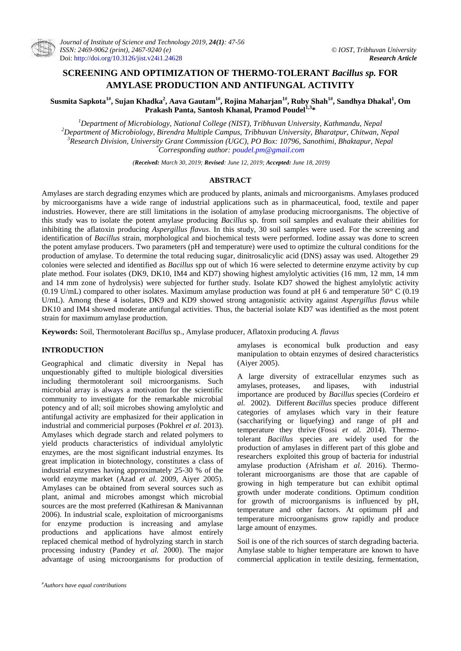# **SCREENING AND OPTIMIZATION OF THERMO-TOLERANT** *Bacillus sp.* **FOR AMYLASE PRODUCTION AND ANTIFUNGAL ACTIVITY**

**Susmita Sapkota1#, Sujan Khadka<sup>2</sup> , Aava Gautam1#, Rojina Maharjan1#, Ruby Shah1#, Sandhya Dhakal<sup>1</sup> , Om Prakash Panta, Santosh Khanal, Pramod Poudel1,3\***

*Department of Microbiology, National College (NIST), Tribhuvan University, Kathmandu, Nepal Department of Microbiology, Birendra Multiple Campus, Tribhuvan University, Bharatpur, Chitwan, Nepal Research Division, University Grant Commission (UGC), PO Box: 10796, Sanothimi, Bhaktapur, Nepal \*Corresponding author: [poudel.pm@gmail.com](mailto:poudel.pm@gmail.com)*

*(Received: March 30, 2019; Revised: June 12, 2019; Accepted: June 18, 2019)*

# **ABSTRACT**

Amylases are starch degrading enzymes which are produced by plants, animals and microorganisms. Amylases produced by microorganisms have a wide range of industrial applications such as in pharmaceutical, food, textile and paper industries. However, there are still limitations in the isolation of amylase producing microorganisms. The objective of this study was to isolate the potent amylase producing *Bacillus* sp. from soil samples and evaluate their abilities for inhibiting the aflatoxin producing *Aspergillus flavus*. In this study, 30 soil samples were used. For the screening and identification of *Bacillus* strain, morphological and biochemical tests were performed. Iodine assay was done to screen the potent amylase producers. Two parameters (pH and temperature) were used to optimize the cultural conditions for the production of amylase. To determine the total reducing sugar, dinitrosalicylic acid (DNS) assay was used. Altogether 29 colonies were selected and identified as *Bacillus* spp out of which 16 were selected to determine enzyme activity by cup plate method. Four isolates (DK9, DK10, IM4 and KD7) showing highest amylolytic activities (16 mm, 12 mm, 14 mm and 14 mm zone of hydrolysis) were subjected for further study. Isolate KD7 showed the highest amylolytic activity (0.19 U/mL) compared to other isolates. Maximum amylase production was found at pH 6 and temperature  $50^{\circ}$  C (0.19 U/mL). Among these 4 isolates, DK9 and KD9 showed strong antagonistic activity against *Aspergillus flavus* while DK10 and IM4 showed moderate antifungal activities*.* Thus, the bacterial isolate KD7 was identified as the most potent strain for maximum amylase production.

**Keywords:** Soil, Thermotolerant *Bacillus* sp., Amylase producer, Aflatoxin producing *A. flavus*

# **INTRODUCTION**

Geographical and climatic diversity in Nepal has unquestionably gifted to multiple biological diversities including thermotolerant soil microorganisms. Such microbial array is always a motivation for the scientific community to investigate for the remarkable microbial potency and of all; soil microbes showing amylolytic and antifungal activity are emphasized for their application in industrial and commericial purposes (Pokhrel *et al*. 2013). Amylases which degrade starch and related polymers to yield products characteristics of individual amylolytic enzymes, are the most significant industrial enzymes. Its great implication in biotechnology, constitutes a class of industrial enzymes having approximately 25-30 % of the world enzyme market (Azad *et al.* 2009, Aiyer 2005). Amylases can be obtained from several sources such as plant, animal and microbes amongst which microbial sources are the most preferred (Kathiresan & Manivannan 2006). In industrial scale, exploitation of microorganisms for enzyme production is increasing and amylase productions and applications have almost entirely replaced chemical method of hydrolyzing starch in starch processing industry (Pandey *et al.* 2000). The major advantage of using microorganisms for production of

amylases is economical bulk production and easy manipulation to obtain enzymes of desired characteristics (Aiyer 2005).

A large diversity of extracellular enzymes such as amylases, [proteases,](https://www.sciencedirect.com/topics/biochemistry-genetics-and-molecular-biology/proteases) and [lipases,](https://www.sciencedirect.com/topics/biochemistry-genetics-and-molecular-biology/lipase) with industrial importance are produced by *Bacillus* species (Cordeiro *et al.* 2002). Different *Bacillus* species produce different categories of amylases which vary in their feature (saccharifying or liquefying) and range of pH and temperature they thrive (Fossi *et al.* 2014). Thermotolerant *Bacillus* species are widely used for the production of amylases in different part of this globe and researchers exploited this group of bacteria for industrial amylase production (Afrisham *et al.* 2016). Thermotolerant microorganisms are those that are capable of growing in high temperature but can exhibit optimal growth under moderate conditions. Optimum condition for growth of microorganisms is influenced by pH, temperature and other factors. At optimum pH and temperature microorganisms grow rapidly and produce large amount of enzymes.

Soil is one of the rich sources of starch degrading bacteria. Amylase stable to higher temperature are known to have commercial application in textile desizing, fermentation,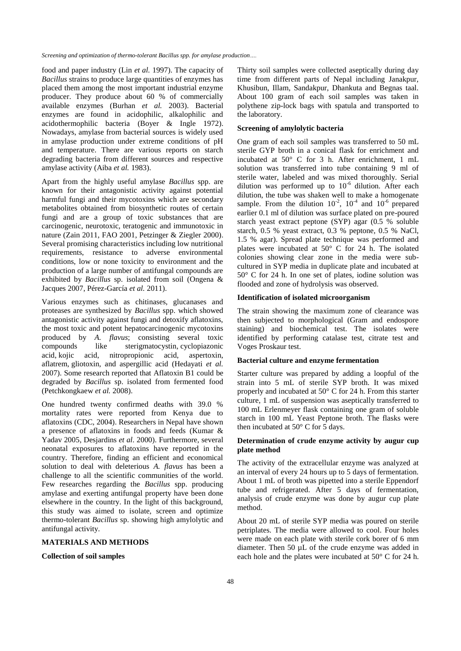food and paper industry (Lin *et al.* 1997). The capacity of *Bacillus* strains to produce large quantities of enzymes has placed them among the most important industrial enzyme producer. They produce about 60 % of commercially available enzymes (Burhan *et al.* 2003). Bacterial enzymes are found in acidophilic, alkalophilic and acidothermophilic bacteria (Boyer & Ingle 1972). Nowadays, amylase from bacterial sources is widely used in amylase production under extreme conditions of pH and temperature. There are various reports on starch degrading bacteria from different sources and respective amylase activity (Aiba *et al.* 1983).

Apart from the highly useful amylase *Bacillus* spp. are known for their antagonistic activity against potential harmful fungi and their mycotoxins which are secondary metabolites obtained from biosynthetic routes of certain fungi and are a group of toxic substances that are carcinogenic, neurotoxic, teratogenic and immunotoxic in nature (Zain 2011, FAO 2001, Petzinger & Ziegler 2000). Several promising characteristics including low nutritional requirements, resistance to adverse environmental conditions, low or none toxicity to environment and the production of a large number of antifungal compounds are exhibited by *Bacillus* sp. isolated from soil (Ongena & Jacques 2007, Pérez-García *et al.* 2011).

Various enzymes such as chitinases, glucanases and proteases are synthesized by *Bacillus* spp. which showed antagonistic activity against fungi and detoxify aflatoxins, the most toxic and potent hepatocarcinogenic mycotoxins produced by *A. flavus*; consisting several toxic compounds like [sterigmatocystin,](https://en.wikipedia.org/wiki/Sterigmatocystin) [cyclopiazonic](https://en.wikipedia.org/wiki/Cyclopiazonic_acid)  [acid,](https://en.wikipedia.org/wiki/Cyclopiazonic_acid) [kojic acid,](https://en.wikipedia.org/wiki/Kojic_acid) nitropropionic acid, aspertoxin, aflatrem, [gliotoxin,](https://en.wikipedia.org/wiki/Gliotoxin) and aspergillic acid (Hedayati *et al.* 2007). Some research reported that Aflatoxin B1 could be degraded by *Bacillus* sp. isolated from fermented food (Petchkongkaew *et al.* 2008).

One hundred twenty confirmed deaths with 39.0 % mortality rates were reported from Kenya due to aflatoxins (CDC, 2004). Researchers in Nepal have shown a presence of aflatoxins in foods and feeds (Kumar & Yadav 2005, Desjardins *et al*. 2000). Furthermore, several neonatal exposures to aflatoxins have reported in the country. Therefore, finding an efficient and economical solution to deal with deleterious *A. flavus* has been a challenge to all the scientific communities of the world. Few researches regarding the *Bacillus* spp. producing amylase and exerting antifungal property have been done elsewhere in the country. In the light of this background, this study was aimed to isolate, screen and optimize thermo-tolerant *Bacillus* sp. showing high amylolytic and antifungal activity.

#### **MATERIALS AND METHODS**

# **Collection of soil samples**

Thirty soil samples were collected aseptically during day time from different parts of Nepal including Janakpur, Khusibun, Illam, Sandakpur, Dhankuta and Begnas taal. About 100 gram of each soil samples was taken in polythene zip-lock bags with spatula and transported to the laboratory.

## **Screening of amylolytic bacteria**

One gram of each soil samples was transferred to 50 mL sterile GYP broth in a conical flask for enrichment and incubated at 50° C for 3 h. After enrichment, 1 mL solution was transferred into tube containing 9 ml of sterile water, labeled and was mixed thoroughly. Serial dilution was performed up to  $10^{-6}$  dilution. After each dilution, the tube was shaken well to make a homogenate sample. From the dilution  $10^{-2}$ ,  $10^{-4}$  and  $10^{-6}$  prepared earlier 0.1 ml of dilution was surface plated on pre-poured starch yeast extract peptone (SYP) agar (0.5 % soluble starch, 0.5 % yeast extract, 0.3 % peptone, 0.5 % NaCl, 1.5 % agar). Spread plate technique was performed and plates were incubated at 50° C for 24 h. The isolated colonies showing clear zone in the media were subcultured in SYP media in duplicate plate and incubated at 50° C for 24 h. In one set of plates, iodine solution was flooded and zone of hydrolysis was observed.

#### **Identification of isolated microorganism**

The strain showing the maximum zone of clearance was then subjected to morphological (Gram and endospore staining) and biochemical test. The isolates were identified by performing catalase test, citrate test and Voges Proskaur test.

# **Bacterial culture and enzyme fermentation**

Starter culture was prepared by adding a loopful of the strain into 5 mL of sterile SYP broth. It was mixed properly and incubated at 50° C for 24 h. From this starter culture, 1 mL of suspension was aseptically transferred to 100 mL Erlenmeyer flask containing one gram of soluble starch in 100 mL Yeast Peptone broth. The flasks were then incubated at 50° C for 5 days.

# **Determination of crude enzyme activity by augur cup plate method**

The activity of the extracellular enzyme was analyzed at an interval of every 24 hours up to 5 days of fermentation. About 1 mL of broth was pipetted into a sterile Eppendorf tube and refrigerated. After 5 days of fermentation, analysis of crude enzyme was done by augur cup plate method.

About 20 mL of sterile SYP media was poured on sterile petriplates. The media were allowed to cool. Four holes were made on each plate with sterile cork borer of 6 mm diameter. Then 50 µL of the crude enzyme was added in each hole and the plates were incubated at 50° C for 24 h.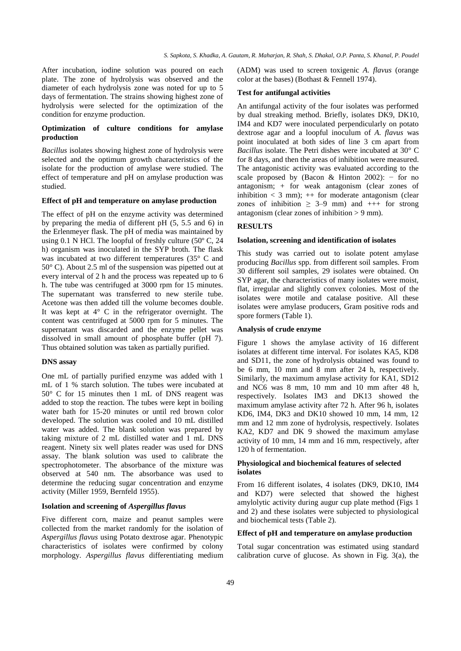After incubation, iodine solution was poured on each plate. The zone of hydrolysis was observed and the diameter of each hydrolysis zone was noted for up to 5 days of fermentation. The strains showing highest zone of hydrolysis were selected for the optimization of the condition for enzyme production.

# **Optimization of culture conditions for amylase production**

*Bacillus* isolates showing highest zone of hydrolysis were selected and the optimum growth characteristics of the isolate for the production of amylase were studied. The effect of temperature and pH on amylase production was studied.

#### **Effect of pH and temperature on amylase production**

The effect of pH on the enzyme activity was determined by preparing the media of different pH (5, 5.5 and 6) in the Erlenmeyer flask. The pH of media was maintained by using 0.1 N HCl. The loopful of freshly culture (50º C, 24 h) organism was inoculated in the SYP broth. The flask was incubated at two different temperatures (35° C and 50° C). About 2.5 ml of the suspension was pipetted out at every interval of 2 h and the process was repeated up to 6 h. The tube was centrifuged at 3000 rpm for 15 minutes. The supernatant was transferred to new sterile tube. Acetone was then added till the volume becomes double. It was kept at 4° C in the refrigerator overnight. The content was centrifuged at 5000 rpm for 5 minutes. The supernatant was discarded and the enzyme pellet was dissolved in small amount of phosphate buffer (pH 7). Thus obtained solution was taken as partially purified.

#### **DNS assay**

One mL of partially purified enzyme was added with 1 mL of 1 % starch solution. The tubes were incubated at 50° C for 15 minutes then 1 mL of DNS reagent was added to stop the reaction. The tubes were kept in boiling water bath for 15-20 minutes or until red brown color developed. The solution was cooled and 10 mL distilled water was added. The blank solution was prepared by taking mixture of 2 mL distilled water and 1 mL DNS reagent. Ninety six well plates reader was used for DNS assay. The blank solution was used to calibrate the spectrophotometer. The absorbance of the mixture was observed at 540 nm. The absorbance was used to determine the reducing sugar concentration and enzyme activity (Miller 1959, Bernfeld 1955).

#### **Isolation and screening of** *Aspergillus flavus*

Five different corn, maize and peanut samples were collected from the market randomly for the isolation of *Aspergillus flavus* using Potato dextrose agar. Phenotypic characteristics of isolates were confirmed by colony morphology. *Aspergillus flavus* differentiating medium (ADM) was used to screen toxigenic *A. flavus* (orange color at the bases) (Bothast & Fennell 1974).

#### **Test for antifungal activities**

An antifungal activity of the four isolates was performed by dual streaking method. Briefly, isolates DK9, DK10, IM4 and KD7 were inoculated perpendicularly on potato dextrose agar and a loopful inoculum of *A. flavus* was point inoculated at both sides of line 3 cm apart from *Bacillus* isolate. The Petri dishes were incubated at 30° C for 8 days, and then the areas of inhibition were measured. The antagonistic activity was evaluated according to the scale proposed by (Bacon & Hinton 2002):  $-$  for no antagonism; + for weak antagonism (clear zones of inhibition  $\lt$  3 mm);  $++$  for moderate antagonism (clear zones of inhibition  $\geq$  3–9 mm) and  $++$  for strong antagonism (clear zones of inhibition  $> 9$  mm).

## **RESULTS**

#### **Isolation, screening and identification of isolates**

This study was carried out to isolate potent amylase producing *Bacillus* spp. from different soil samples. From 30 different soil samples, 29 isolates were obtained. On SYP agar, the characteristics of many isolates were moist, flat, irregular and slightly convex colonies. Most of the isolates were motile and catalase positive. All these isolates were amylase producers, Gram positive rods and spore formers (Table 1).

#### **Analysis of crude enzyme**

Figure 1 shows the amylase activity of 16 different isolates at different time interval. For isolates KA5, KD8 and SD11, the zone of hydrolysis obtained was found to be 6 mm, 10 mm and 8 mm after 24 h, respectively. Similarly, the maximum amylase activity for KA1, SD12 and NC6 was 8 mm, 10 mm and 10 mm after 48 h, respectively. Isolates IM3 and DK13 showed the maximum amylase activity after 72 h. After 96 h, isolates KD6, IM4, DK3 and DK10 showed 10 mm, 14 mm, 12 mm and 12 mm zone of hydrolysis, respectively. Isolates KA2, KD7 and DK 9 showed the maximum amylase activity of 10 mm, 14 mm and 16 mm, respectively, after 120 h of fermentation.

## **Physiological and biochemical features of selected isolates**

From 16 different isolates, 4 isolates (DK9, DK10, IM4 and KD7) were selected that showed the highest amylolytic activity during augur cup plate method (Figs 1 and 2) and these isolates were subjected to physiological and biochemical tests (Table 2).

# **Effect of pH and temperature on amylase production**

Total sugar concentration was estimated using standard calibration curve of glucose. As shown in Fig. 3(a), the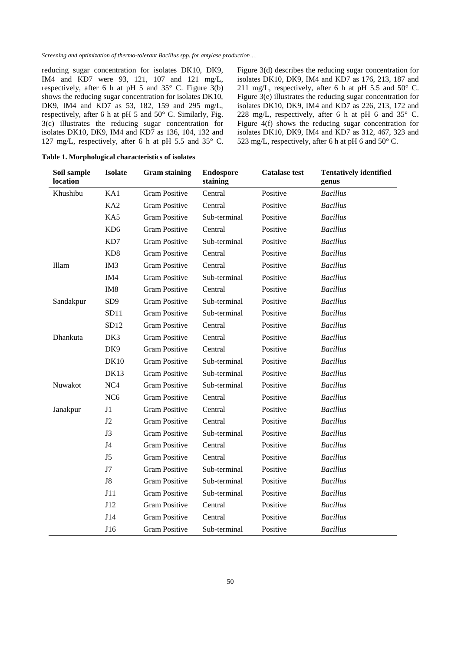reducing sugar concentration for isolates DK10, DK9, IM4 and KD7 were 93, 121, 107 and 121 mg/L, respectively, after 6 h at pH 5 and 35° C. Figure 3(b) shows the reducing sugar concentration for isolates DK10, DK9, IM4 and KD7 as 53, 182, 159 and 295 mg/L, respectively, after 6 h at pH 5 and 50° C. Similarly, Fig. 3(c) illustrates the reducing sugar concentration for isolates DK10, DK9, IM4 and KD7 as 136, 104, 132 and 127 mg/L, respectively, after 6 h at pH 5.5 and 35° C.

Figure 3(d) describes the reducing sugar concentration for isolates DK10, DK9, IM4 and KD7 as 176, 213, 187 and 211 mg/L, respectively, after 6 h at pH 5.5 and  $50^{\circ}$  C. Figure 3(e) illustrates the reducing sugar concentration for isolates DK10, DK9, IM4 and KD7 as 226, 213, 172 and 228 mg/L, respectively, after 6 h at pH 6 and  $35^{\circ}$  C. Figure 4(f) shows the reducing sugar concentration for isolates DK10, DK9, IM4 and KD7 as 312, 467, 323 and 523 mg/L, respectively, after 6 h at pH 6 and 50° C.

| Soil sample<br>location | <b>Isolate</b>  | <b>Gram staining</b> | <b>Endospore</b><br>staining | <b>Catalase test</b> | <b>Tentatively identified</b><br>genus |
|-------------------------|-----------------|----------------------|------------------------------|----------------------|----------------------------------------|
| Khushibu                | KA1             | <b>Gram Positive</b> | Central                      | Positive             | <b>Bacillus</b>                        |
|                         | KA <sub>2</sub> | <b>Gram Positive</b> | Central                      | Positive             | <b>Bacillus</b>                        |
|                         | KA5             | <b>Gram Positive</b> | Sub-terminal                 | Positive             | <b>Bacillus</b>                        |
|                         | KD <sub>6</sub> | <b>Gram Positive</b> | Central                      | Positive             | <b>Bacillus</b>                        |
|                         | KD7             | <b>Gram Positive</b> | Sub-terminal                 | Positive             | <b>Bacillus</b>                        |
|                         | KD <sub>8</sub> | <b>Gram Positive</b> | Central                      | Positive             | <b>Bacillus</b>                        |
| Illam                   | IM <sub>3</sub> | <b>Gram Positive</b> | Central                      | Positive             | <b>Bacillus</b>                        |
|                         | IM4             | <b>Gram Positive</b> | Sub-terminal                 | Positive             | <b>Bacillus</b>                        |
|                         | IM <sub>8</sub> | <b>Gram Positive</b> | Central                      | Positive             | <b>Bacillus</b>                        |
| Sandakpur               | SD <sub>9</sub> | <b>Gram Positive</b> | Sub-terminal                 | Positive             | <b>Bacillus</b>                        |
|                         | SD11            | <b>Gram Positive</b> | Sub-terminal                 | Positive             | <b>Bacillus</b>                        |
|                         | SD12            | <b>Gram Positive</b> | Central                      | Positive             | <b>Bacillus</b>                        |
| Dhankuta                | DK3             | <b>Gram Positive</b> | Central                      | Positive             | <b>Bacillus</b>                        |
|                         | DK9             | <b>Gram Positive</b> | Central                      | Positive             | <b>Bacillus</b>                        |
|                         | <b>DK10</b>     | <b>Gram Positive</b> | Sub-terminal                 | Positive             | <b>Bacillus</b>                        |
|                         | <b>DK13</b>     | <b>Gram Positive</b> | Sub-terminal                 | Positive             | <b>Bacillus</b>                        |
| Nuwakot                 | NC <sub>4</sub> | <b>Gram Positive</b> | Sub-terminal                 | Positive             | <b>Bacillus</b>                        |
|                         | NC <sub>6</sub> | <b>Gram Positive</b> | Central                      | Positive             | <b>Bacillus</b>                        |
| Janakpur                | J1              | <b>Gram Positive</b> | Central                      | Positive             | <b>Bacillus</b>                        |
|                         | J2              | <b>Gram Positive</b> | Central                      | Positive             | <b>Bacillus</b>                        |
|                         | J3              | <b>Gram Positive</b> | Sub-terminal                 | Positive             | <b>Bacillus</b>                        |
|                         | J <sub>4</sub>  | <b>Gram Positive</b> | Central                      | Positive             | <b>Bacillus</b>                        |
|                         | J <sub>5</sub>  | <b>Gram Positive</b> | Central                      | Positive             | <b>Bacillus</b>                        |
|                         | J7              | <b>Gram Positive</b> | Sub-terminal                 | Positive             | <b>Bacillus</b>                        |
|                         | ${\rm J}8$      | <b>Gram Positive</b> | Sub-terminal                 | Positive             | <b>Bacillus</b>                        |
|                         | J11             | <b>Gram Positive</b> | Sub-terminal                 | Positive             | <b>Bacillus</b>                        |
|                         | J12             | <b>Gram Positive</b> | Central                      | Positive             | <b>Bacillus</b>                        |
|                         | J14             | <b>Gram Positive</b> | Central                      | Positive             | <b>Bacillus</b>                        |
|                         | J16             | <b>Gram Positive</b> | Sub-terminal                 | Positive             | <b>Bacillus</b>                        |

**Table 1. Morphological characteristics of isolates**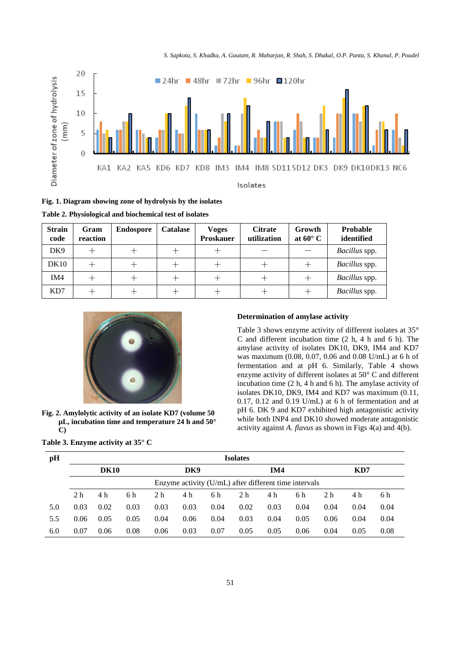*S. Sapkota, S. Khadka, A. Gautam, R. Maharjan, R. Shah, S. Dhakal, O.P. Panta, S. Khanal, P. Poudel*



**Fig. 1. Diagram showing zone of hydrolysis by the isolates**

| <b>Strain</b><br>code | Gram<br>reaction | <b>Endospore</b> | <b>Catalase</b> | <b>Voges</b><br><b>Proskauer</b> | <b>Citrate</b><br>utilization | Growth<br>at $60^{\circ}$ C | Probable<br>identified |
|-----------------------|------------------|------------------|-----------------|----------------------------------|-------------------------------|-----------------------------|------------------------|
| DK9                   |                  |                  |                 |                                  |                               |                             | Bacillus spp.          |
| DK10                  |                  |                  |                 |                                  |                               |                             | <i>Bacillus</i> spp.   |
| IM4                   |                  |                  |                 | ┿                                | ┭                             |                             | Bacillus spp.          |
| KD7                   |                  |                  |                 |                                  |                               |                             | <i>Bacillus</i> spp.   |



**Fig. 2. Amylolytic activity of an isolate KD7 (volume 50 µL, incubation time and temperature 24 h and 50° C)**

#### **Table 3. Enzyme activity at 35° C**

## **Determination of amylase activity**

Table 3 shows enzyme activity of different isolates at 35° C and different incubation time (2 h, 4 h and 6 h). The amylase activity of isolates DK10, DK9, IM4 and KD7 was maximum (0.08, 0.07, 0.06 and 0.08 U/mL) at 6 h of fermentation and at pH 6. Similarly, Table 4 shows enzyme activity of different isolates at 50° C and different incubation time (2 h, 4 h and 6 h). The amylase activity of isolates DK10, DK9, IM4 and KD7 was maximum (0.11, 0.17, 0.12 and 0.19 U/mL) at 6 h of fermentation and at pH 6. DK 9 and KD7 exhibited high antagonistic activity while both INP4 and DK10 showed moderate antagonistic activity against *A. flavus* as shown in Figs 4(a) and 4(b).

| pH  | <b>Isolates</b>                                         |      |      |      |            |      |      |      |      |      |      |      |
|-----|---------------------------------------------------------|------|------|------|------------|------|------|------|------|------|------|------|
|     | <b>DK10</b>                                             |      |      |      | DK9<br>IM4 |      |      |      | KD7  |      |      |      |
|     | Enzyme activity $(U/mL)$ after different time intervals |      |      |      |            |      |      |      |      |      |      |      |
|     | 2 <sub>h</sub>                                          | 4 h  | 6 h  | 2 h  | 4 h        | 6 h  | 2 h  | 4 h  | 6 h  | 2 h  | 4 h  | 6 h  |
| 5.0 | 0.03                                                    | 0.02 | 0.03 | 0.03 | 0.03       | 0.04 | 0.02 | 0.03 | 0.04 | 0.04 | 0.04 | 0.04 |
| 5.5 | 0.06                                                    | 0.05 | 0.05 | 0.04 | 0.06       | 0.04 | 0.03 | 0.04 | 0.05 | 0.06 | 0.04 | 0.04 |
| 6.0 | 0.07                                                    | 0.06 | 0.08 | 0.06 | 0.03       | 0.07 | 0.05 | 0.05 | 0.06 | 0.04 | 0.05 | 0.08 |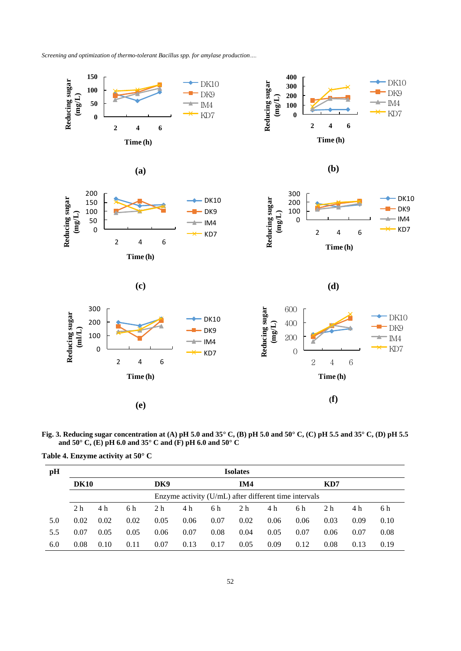

**Fig. 3. Reducing sugar concentration at (A) pH 5.0 and 35° C, (B) pH 5.0 and 50° C, (C) pH 5.5 and 35° C, (D) pH 5.5 and 50° C, (E) pH 6.0 and 35° C and (F) pH 6.0 and 50° C**

**Table 4. Enzyme activity at 50° C**

| pH  | <b>Isolates</b>                                       |      |      |                |      |      |      |      |      |                |      |      |
|-----|-------------------------------------------------------|------|------|----------------|------|------|------|------|------|----------------|------|------|
|     | <b>DK10</b>                                           |      |      | DK9            | IM4  |      |      |      |      | KD7            |      |      |
|     | Enzyme activity (U/mL) after different time intervals |      |      |                |      |      |      |      |      |                |      |      |
|     | 2 <sub>h</sub>                                        | 4 h  | 6 h  | 2 <sub>h</sub> | 4 h  | 6 h  | 2 h  | 4 h  | 6 h  | 2 <sub>h</sub> | 4 h  | 6 h  |
| 5.0 | 0.02                                                  | 0.02 | 0.02 | 0.05           | 0.06 | 0.07 | 0.02 | 0.06 | 0.06 | 0.03           | 0.09 | 0.10 |
| 5.5 | 0.07                                                  | 0.05 | 0.05 | 0.06           | 0.07 | 0.08 | 0.04 | 0.05 | 0.07 | 0.06           | 0.07 | 0.08 |
| 6.0 | 0.08                                                  | 0.10 | 0.11 | 0.07           | 0.13 | 0.17 | 0.05 | 0.09 | 0.12 | 0.08           | 0.13 | 0.19 |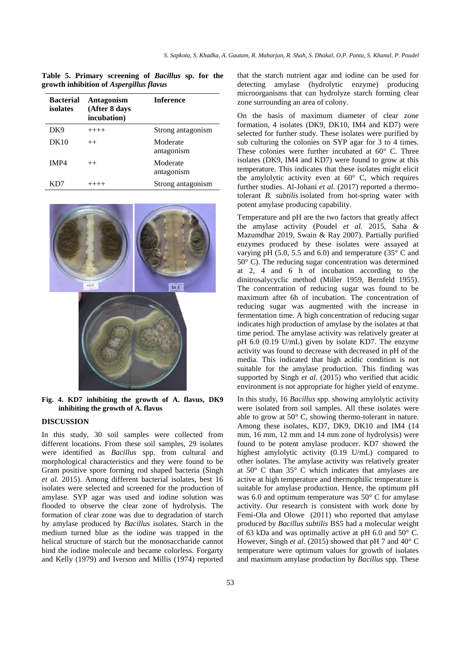|                                                |  |                      |  | Table 5. Primary screening of Bacillus sp. for the |  |  |
|------------------------------------------------|--|----------------------|--|----------------------------------------------------|--|--|
| growth inhibition of <i>Aspergillus flavus</i> |  |                      |  |                                                    |  |  |
|                                                |  | Doctorial Antegoniam |  | Informaco                                          |  |  |

| <b>Bacterial</b><br>isolates | <b>Antagonism</b><br>(After 8 days<br>incubation) | <b>Inference</b>       |
|------------------------------|---------------------------------------------------|------------------------|
| DK9                          | $+++++$                                           | Strong antagonism      |
| DK10                         | $^{++}$                                           | Moderate<br>antagonism |
| IMP4                         | $^{++}$                                           | Moderate<br>antagonism |
| KD7                          | $+++++$                                           | Strong antagonism      |



**Fig. 4. KD7 inhibiting the growth of A. flavus, DK9 inhibiting the growth of A. flavus**

# **DISCUSSION**

In this study, 30 soil samples were collected from different locations. From these soil samples, 29 isolates were identified as *Bacillus* spp. from cultural and morphological characteristics and they were found to be Gram positive spore forming rod shaped bacteria (Singh *et al.* 2015). Among different bacterial isolates, best 16 isolates were selected and screened for the production of amylase. SYP agar was used and iodine solution was flooded to observe the clear zone of hydrolysis. The formation of clear zone was due to degradation of starch by amylase produced by *Bacillus* isolates. Starch in the medium turned blue as the iodine was trapped in the helical structure of starch but the monosaccharide cannot bind the iodine molecule and became colorless. Forgarty and Kelly (1979) and Iverson and Millis (1974) reported

that the starch nutrient agar and iodine can be used for detecting amylase (hydrolytic enzyme) producing microorganisms that can hydrolyze starch forming clear zone surrounding an area of colony.

On the basis of maximum diameter of clear zone formation, 4 isolates (DK9, DK10, IM4 and KD7) were selected for further study. These isolates were purified by sub culturing the colonies on SYP agar for 3 to 4 times. These colonies were further incubated at 60° C. Three isolates (DK9, IM4 and KD7) were found to grow at this temperature. This indicates that these isolates might elicit the amylolytic activity even at  $60^{\circ}$  C, which requires further studies. Al-Johani et al. (2017) reported a thermotolerant *B. subtilis* isolated from hot-spring water with potent amylase producing capability.

Temperature and pH are the two factors that greatly affect the amylase activity (Poudel *et al.* 2015, Saha & Mazumdhar 2019, Swain & Ray 2007). Partially purified enzymes produced by these isolates were assayed at varying pH (5.0, 5.5 and 6.0) and temperature (35 $\degree$  C and 50° C). The reducing sugar concentration was determined at 2, 4 and 6 h of incubation according to the dinitrosalycyclic method (Miller 1959, Bernfeld 1955). The concentration of reducing sugar was found to be maximum after 6h of incubation. The concentration of reducing sugar was augmented with the increase in fermentation time. A high concentration of reducing sugar indicates high production of amylase by the isolates at that time period. The amylase activity was relatively greater at pH 6.0 (0.19 U/mL) given by isolate KD7. The enzyme activity was found to decrease with decreased in pH of the media. This indicated that high acidic condition is not suitable for the amylase production. This finding was supported by Singh *et al.* (2015) who verified that acidic environment is not appropriate for higher yield of enzyme.

In this study, 16 *Bacillus* spp. showing amylolytic activity were isolated from soil samples. All these isolates were able to grow at 50° C, showing thermo-tolerant in nature. Among these isolates, KD7, DK9, DK10 and IM4 (14 mm, 16 mm, 12 mm and 14 mm zone of hydrolysis) were found to be potent amylase producer. KD7 showed the highest amylolytic activity (0.19 U/mL) compared to other isolates. The amylase activity was relatively greater at 50° C than 35° C which indicates that amylases are active at high temperature and thermophilic temperature is suitable for amylase production. Hence, the optimum pH was 6.0 and optimum temperature was 50° C for amylase activity. Our research is consistent with work done by Femi-Ola and Olowe (2011) who reported that amylase produced by *Bacillus subtilis* BS5 had a molecular weight of 63 kDa and was optimally active at pH 6.0 and 50° C. However, Singh *et al.* (2015) showed that pH 7 and 40° C temperature were optimum values for growth of isolates and maximum amylase production by *Bacillus* spp*.* These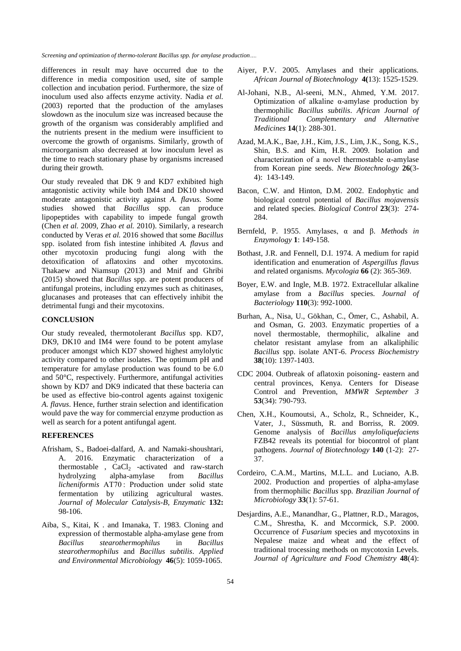differences in result may have occurred due to the difference in media composition used, site of sample collection and incubation period. Furthermore, the size of inoculum used also affects enzyme activity. Nadia *et al.*  (2003) reported that the production of the amylases slowdown as the inoculum size was increased because the growth of the organism was considerably amplified and the nutrients present in the medium were insufficient to overcome the growth of organisms. Similarly, growth of microorganism also decreased at low inoculum level as the time to reach stationary phase by organisms increased during their growth.

Our study revealed that DK 9 and KD7 exhibited high antagonistic activity while both IM4 and DK10 showed moderate antagonistic activity against *A. flavus.* Some studies showed that *Bacillus* spp. can produce lipopeptides with capability to impede fungal growth (Chen *et al.* 2009, Zhao *et al.* 2010). Similarly, a research conducted by Veras *et al.* 2016 showed that some *Bacillus* spp. isolated from fish intestine inhibited *A. flavus* and other mycotoxin producing fungi along with the detoxification of aflatoxins and other mycotoxins. Thakaew and Niamsup (2013) and Mnif and Ghribi (2015) showed that *Bacillus* spp. are potent producers of antifungal proteins, including enzymes such as chitinases, glucanases and proteases that can effectively inhibit the detrimental fungi and their mycotoxins.

# **CONCLUSION**

Our study revealed, thermotolerant *Bacillus* spp. KD7, DK9, DK10 and IM4 were found to be potent amylase producer amongst which KD7 showed highest amylolytic activity compared to other isolates. The optimum pH and temperature for amylase production was found to be 6.0 and 50°C, respectively. Furthermore, antifungal activities shown by KD7 and DK9 indicated that these bacteria can be used as effective bio-control agents against toxigenic *A. flavus*. Hence, further strain selection and identification would pave the way for commercial enzyme production as well as search for a potent antifungal agent.

# **REFERENCES**

- Afrisham, S., Badoei-dalfard, A. and Namaki-shoushtari, A. 2016. Enzymatic characterization of a thermostable ,  $CaCl<sub>2</sub>$  -activated and raw-starch hydrolyzing alpha-amylase from *Bacillus licheniformis* AT70 : Production under solid state fermentation by utilizing agricultural wastes. *Journal of Molecular Catalysis-B, Enzymatic* **132:** 98-106.
- Aiba, S., Kitai, K . and Imanaka, T. 1983. Cloning and expression of thermostable alpha-amylase gene from *Bacillus stearothermophilus* in *Bacillus stearothermophilus* and *Bacillus subtilis*. *Applied and Environmental Microbiology* **46**(5): 1059-1065.
- Aiyer, P.V. 2005. Amylases and their applications. *African Journal of Biotechnology* **4(**13): 1525-1529.
- Al-Johani, N.B., Al-seeni, M.N., Ahmed, Y.M. 2017. Optimization of alkaline α-amylase production by thermophilic *Bacillus subtilis*. *African Journal of Traditional Complementary and Alternative Medicines* **14**(1): 288-301.
- Azad, M.A.K., Bae, J.H., Kim, J.S., Lim, J.K., Song, K.S., Shin, B.S. and Kim, H.R. 2009. Isolation and characterization of a novel thermostable α-amylase from Korean pine seeds. *New Biotechnology* **26**(3- 4): 143-149.
- Bacon, C.W. and Hinton, D.M. 2002. Endophytic and biological control potential of *Bacillus mojavensis*  and related species. *Biological Control* **23**(3): 274- 284.
- Bernfeld, P. 1955. Amylases, α and β. *Methods in Enzymology* **1**: 149-158.
- Bothast, J.R. and Fennell, D.I. 1974. A medium for rapid identification and enumeration of *Aspergillus flavus* and related organisms. *Mycologia* **66** (2): 365-369.
- Boyer, E.W. and Ingle, M.B. 1972. Extracellular alkaline amylase from a *Bacillus* species. *Journal of Bacteriology* **110**(3): 992-1000.
- Burhan, A., Nisa, U., Gökhan, C., Ömer, C., Ashabil, A. and Osman, G. 2003. Enzymatic properties of a novel thermostable, thermophilic, alkaline and chelator resistant amylase from an alkaliphilic *Bacillus* spp. isolate ANT-6. *Process Biochemistry* **38**(10): 1397-1403.
- CDC 2004. Outbreak of aflatoxin poisoning- eastern and central provinces, Kenya. Centers for Disease Control and Prevention, *MMWR September 3* **53**(34): 790-793.
- Chen, X.H., Koumoutsi, A., Scholz, R., Schneider, K., Vater, J., Süssmuth, R. and Borriss, R. 2009. Genome analysis of *Bacillus amyloliquefaciens* FZB42 reveals its potential for biocontrol of plant pathogens. *Journal of Biotechnology* **140** (1-2): 27- 37.
- Cordeiro, C.A.M., Martins, M.L.L. and Luciano, A.B. 2002. Production and properties of alpha-amylase from thermophilic *Bacillus* spp*. Brazilian Journal of Microbiology* **33**(1): 57-61.
- Desjardins, A.E., Manandhar, G., Plattner, R.D., Maragos, C.M., Shrestha, K. and Mccormick, S.P. 2000. Occurrence of *Fusarium* species and mycotoxins in Nepalese maize and wheat and the effect of traditional trocessing methods on mycotoxin Levels. *Journal of Agriculture and Food Chemistry* **48**(4):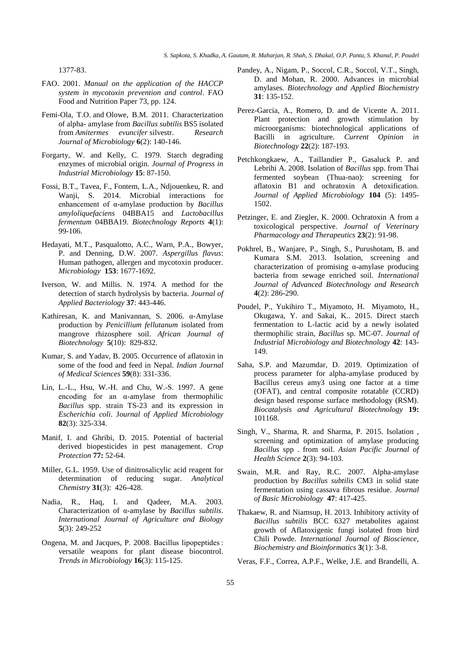1377-83.

- FAO. 2001. *Manual on the application of the HACCP system in mycotoxin prevention and control*. FAO Food and Nutrition Paper 73, pp. 124.
- [Femi-Ola,](http://ascidatabase.com/author.php?author=T.O.&last=Femi-Ola) T.O. and [Olowe,](http://ascidatabase.com/author.php?author=B.M.&last=Olowe) B.M. 2011. Characterization of alpha- amylase from *Bacillus subtilis* BS5 isolated from *Amitermes evuncifer* silvestr. *Research Journal of Microbiology* **6**(2): 140-146.
- Forgarty, W. and Kelly, C. 1979. Starch degrading enzymes of microbial origin. *Journal of Progress in Industrial Microbiology* **15**: 87-150.
- Fossi, B.T., Tavea, F., Fontem, L.A., Ndjouenkeu, R. and Wanji, S. 2014. Microbial interactions for enhancement of α-amylase production by *Bacillus amyloliquefaciens* 04BBA15 and *Lactobacillus fermentum* 04BBA19. *Biotechnology Reports* **4**(1): 99-106.
- Hedayati, M.T., Pasqualotto, A.C., Warn, P.A., Bowyer, P. and Denning, D.W. 2007. *Aspergillus flavus*: Human pathogen, allergen and mycotoxin producer. *Microbiology* **153**: 1677-1692.
- Iverson, W. and Millis. N. 1974. A method for the detection of starch hydrolysis by bacteria. *Journal of Applied Bacteriology* **37**: 443-446.
- Kathiresan, K. and Manivannan, S. 2006. α-Amylase production by *Penicillium fellutanum* isolated from mangrove rhizosphere soil. *African Journal of Biotechnology* **5**(10): 829-832.
- Kumar, S. and Yadav, B. 2005. Occurrence of aflatoxin in some of the food and feed in Nepal. *Indian Journal of Medical Sciences* **59**(8): 331-336.
- Lin, L.-L., Hsu, W.-H. and Chu, W.-S. 1997. A gene encoding for an  $\alpha$ -amylase from thermophilic *Bacillus* spp. strain TS-23 and its expression in *Escherichia coli*. J*ournal of Applied Microbiology* **82**(3): 325-334.
- Manif, I. and Ghribi, D. 2015. Potential of bacterial derived biopesticides in pest management. *Crop Protection* **77:** 52-64.
- Miller, G.L. 1959. Use of dinitrosalicylic acid reagent for determination of reducing sugar. *Analytical Chemistry* **31**(3): 426-428.
- Nadia, R., Haq, I. and Qadeer, M.A. 2003. Characterization of α-amylase by *Bacillus subtilis*. *International Journal of Agriculture and Biology* **5**(3): 249-252
- Ongena, M. and Jacques, P. 2008. Bacillus lipopeptides : versatile weapons for plant disease biocontrol. *Trends in Microbiology* **16**(3): 115-125.
- Pandey, A., Nigam, P., Soccol, C.R., Soccol, V.T., Singh, D. and Mohan, R. 2000. Advances in microbial amylases. *Biotechnology and Applied Biochemistry*  **31**: 135-152.
- Perez-Garcia, A., Romero, D. and de Vicente A. 2011. Plant protection and growth stimulation by microorganisms: biotechnological applications of Bacilli in agriculture. *Current Opinion in Biotechnology* **22**(2): 187-193.
- Petchkongkaew, A., Taillandier P., Gasaluck P. and Lebrihi A. 2008. Isolation of *Bacillus* spp. from Thai fermented soybean (Thua-nao): screening for aflatoxin B1 and ochratoxin A detoxification. *Journal of Applied Microbiology* **104** (5): 1495- 1502.
- Petzinger, E. and Ziegler, K. 2000. Ochratoxin A from a toxicological perspective. *Journal of Veterinary Pharmacology and Therapeutics* **23**(2): 91-98.
- Pokhrel, B., Wanjare, P., Singh, S., Purushotam, B. and Kumara S.M. 2013. Isolation, screening and characterization of promising α-amylase producing bacteria from sewage enriched soil*. International Journal of Advanced Biotechnology and Research* **4**(2): 286-290.
- Poudel, P., Yukihiro T., Miyamoto, H. Miyamoto, H., Okugawa, Y. and Sakai, K.. 2015. Direct starch fermentation to L-lactic acid by a newly isolated thermophilic strain, *Bacillus* sp. MC-07. *Journal of Industrial Microbiology and Biotechnology* **42**: 143- 149.
- Saha, S.P. and Mazumdar, D. 2019. Optimization of process parameter for alpha-amylase produced by Bacillus cereus amy3 using one factor at a time (OFAT), and central composite rotatable (CCRD) design based response surface methodology (RSM). *[Biocatalysis and Agricultural Biotechnology](https://www.sciencedirect.com/science/journal/18788181)* **19:**  101168.
- Singh, V., Sharma, R. and Sharma, P. 2015. Isolation , screening and optimization of amylase producing *Bacillus* spp . from soil. *Asian Pacific Journal of Health Science* **2**(3): 94-103.
- Swain, M.R. and Ray, R.C. 2007. Alpha-amylase production by *Bacillus subtilis* CM3 in solid state fermentation using cassava fibrous residue. *Journal of Basic Microbiology* **47**: 417-425.
- Thakaew, R. and Niamsup, H. 2013. Inhibitory activity of *Bacillus subtilis* BCC 6327 metabolites against growth of Aflatoxigenic fungi isolated from bird Chili Powde. *International Journal of Bioscience, Biochemistry and Bioinformatics* **3**(1): 3-8.
- Veras, F.F., Correa, A.P.F., Welke, J.E. and Brandelli, A.